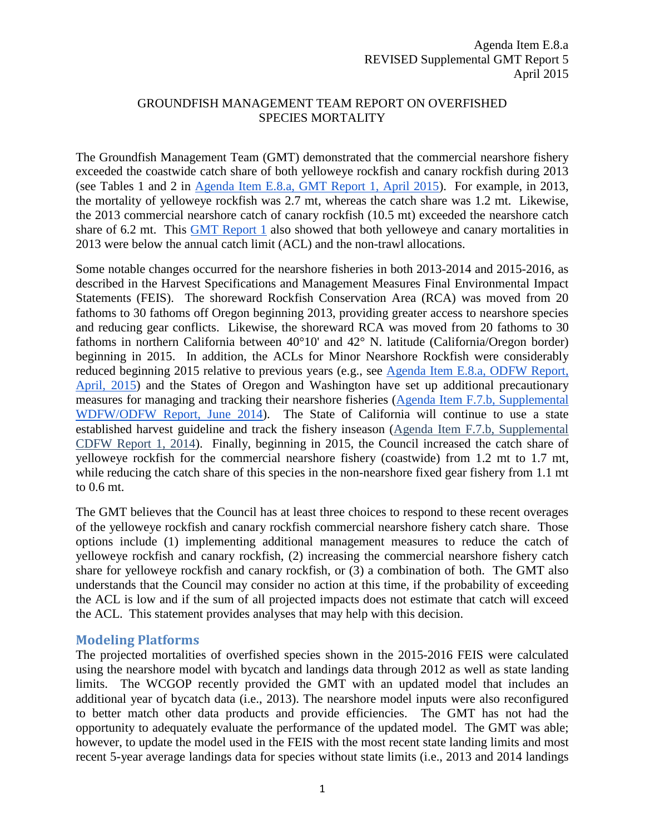### GROUNDFISH MANAGEMENT TEAM REPORT ON OVERFISHED SPECIES MORTALITY

The Groundfish Management Team (GMT) demonstrated that the commercial nearshore fishery exceeded the coastwide catch share of both yelloweye rockfish and canary rockfish during 2013 (see Tables 1 and 2 i[n](http://www.pcouncil.org/wp-content/uploads/2015/03/E8a_GMT_Rpt1_OFS_APR2015BB.pdf) [Agenda Item E.8.a, GMT Report 1, April 2015\)](http://www.pcouncil.org/wp-content/uploads/2015/03/E8a_GMT_Rpt1_OFS_APR2015BB.pdf). For example, in 2013, the mortality of yelloweye rockfish was 2.7 mt, whereas the catch share was 1.2 mt. Likewise, the 2013 commercial nearshore catch of canary rockfish (10.5 mt) exceeded the nearshore catch share of 6.2 mt. Thi[s](http://www.pcouncil.org/wp-content/uploads/2015/03/E8a_GMT_Rpt1_OFS_APR2015BB.pdf) [GMT Report 1](http://www.pcouncil.org/wp-content/uploads/2015/03/E8a_GMT_Rpt1_OFS_APR2015BB.pdf) also showed that both yelloweye and canary mortalities in 2013 were below the annual catch limit (ACL) and the non-trawl allocations.

Some notable changes occurred for the nearshore fisheries in both 2013-2014 and 2015-2016, as described in the Harvest Specifications and Management Measures Final Environmental Impact Statements (FEIS). The shoreward Rockfish Conservation Area (RCA) was moved from 20 fathoms to 30 fathoms off Oregon beginning 2013, providing greater access to nearshore species and reducing gear conflicts. Likewise, the shoreward RCA was moved from 20 fathoms to 30 fathoms in northern California between 40°10' and 42° N. latitude (California/Oregon border) beginning in 2015. In addition, the ACLs for Minor Nearshore Rockfish were considerably reduced beginning 2015 relative to previous years (e.g., se[e](http://www.pcouncil.org/wp-content/uploads/2015/03/E8a_ODFW_Rpt_APR2015BB.pdf) [Agenda Item E.8.a, ODFW Report,](http://www.pcouncil.org/wp-content/uploads/2015/03/E8a_ODFW_Rpt_APR2015BB.pdf)  [April, 2015\)](http://www.pcouncil.org/wp-content/uploads/2015/03/E8a_ODFW_Rpt_APR2015BB.pdf) and the States of Oregon and Washington have set up additional precautionary measures for managing and tracking their nearshore fisheries [\(Agenda Item F.7.b, Supplemental](http://www.pcouncil.org/wp-content/uploads/F7b_SUP_WDFW_ODFW_Rpt_JUNE2014BB.pdf)  [WDFW/ODFW Report, June 2014\)](http://www.pcouncil.org/wp-content/uploads/F7b_SUP_WDFW_ODFW_Rpt_JUNE2014BB.pdf). The State of California will continue to use a state established harvest guideline and track the fishery inseason (Agenda Item F.7.b, Supplemental CDFW Report 1, 2014). Finally, beginning in 2015, the Council increased the catch share of yelloweye rockfish for the commercial nearshore fishery (coastwide) from 1.2 mt to 1.7 mt, while reducing the catch share of this species in the non-nearshore fixed gear fishery from 1.1 mt to 0.6 mt.

The GMT believes that the Council has at least three choices to respond to these recent overages of the yelloweye rockfish and canary rockfish commercial nearshore fishery catch share. Those options include (1) implementing additional management measures to reduce the catch of yelloweye rockfish and canary rockfish, (2) increasing the commercial nearshore fishery catch share for yelloweye rockfish and canary rockfish, or (3) a combination of both. The GMT also understands that the Council may consider no action at this time, if the probability of exceeding the ACL is low and if the sum of all projected impacts does not estimate that catch will exceed the ACL. This statement provides analyses that may help with this decision.

### **Modeling Platforms**

The projected mortalities of overfished species shown in the 2015-2016 FEIS were calculated using the nearshore model with bycatch and landings data through 2012 as well as state landing limits. The WCGOP recently provided the GMT with an updated model that includes an additional year of bycatch data (i.e., 2013). The nearshore model inputs were also reconfigured to better match other data products and provide efficiencies. The GMT has not had the opportunity to adequately evaluate the performance of the updated model. The GMT was able; however, to update the model used in the FEIS with the most recent state landing limits and most recent 5-year average landings data for species without state limits (i.e., 2013 and 2014 landings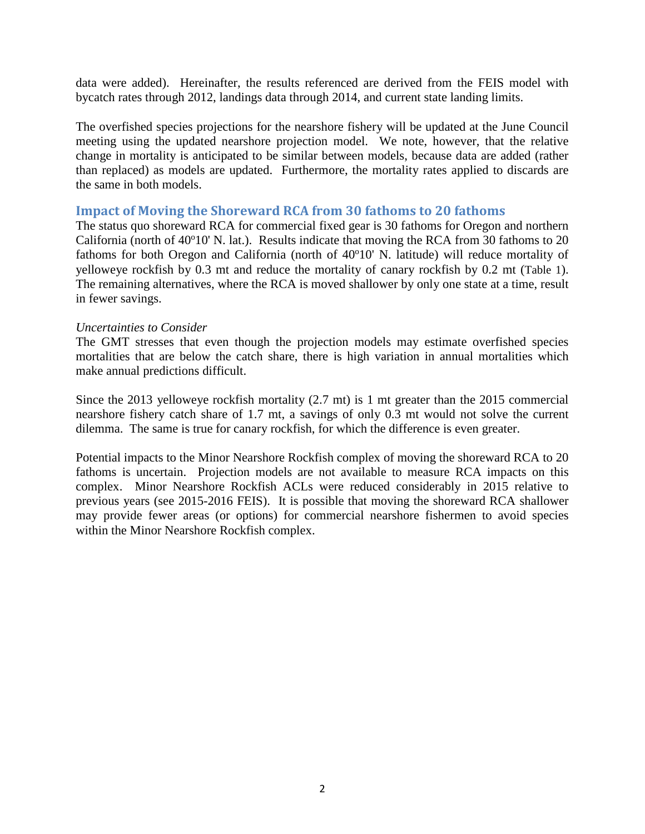data were added). Hereinafter, the results referenced are derived from the FEIS model with bycatch rates through 2012, landings data through 2014, and current state landing limits.

The overfished species projections for the nearshore fishery will be updated at the June Council meeting using the updated nearshore projection model. We note, however, that the relative change in mortality is anticipated to be similar between models, because data are added (rather than replaced) as models are updated. Furthermore, the mortality rates applied to discards are the same in both models.

#### **Impact of Moving the Shoreward RCA from 30 fathoms to 20 fathoms**

The status quo shoreward RCA for commercial fixed gear is 30 fathoms for Oregon and northern California (north of 40°10' N. lat.). Results indicate that moving the RCA from 30 fathoms to 20 fathoms for both Oregon and California (north of 40°10' N. latitude) will reduce mortality of yelloweye rockfish by 0.3 mt and reduce the mortality of canary rockfish by 0.2 mt [\(Table 1\)](#page-2-0). The remaining alternatives, where the RCA is moved shallower by only one state at a time, result in fewer savings.

#### *Uncertainties to Consider*

The GMT stresses that even though the projection models may estimate overfished species mortalities that are below the catch share, there is high variation in annual mortalities which make annual predictions difficult.

Since the 2013 yelloweye rockfish mortality (2.7 mt) is 1 mt greater than the 2015 commercial nearshore fishery catch share of 1.7 mt, a savings of only 0.3 mt would not solve the current dilemma. The same is true for canary rockfish, for which the difference is even greater.

Potential impacts to the Minor Nearshore Rockfish complex of moving the shoreward RCA to 20 fathoms is uncertain. Projection models are not available to measure RCA impacts on this complex. Minor Nearshore Rockfish ACLs were reduced considerably in 2015 relative to previous years (see 2015-2016 FEIS). It is possible that moving the shoreward RCA shallower may provide fewer areas (or options) for commercial nearshore fishermen to avoid species within the Minor Nearshore Rockfish complex.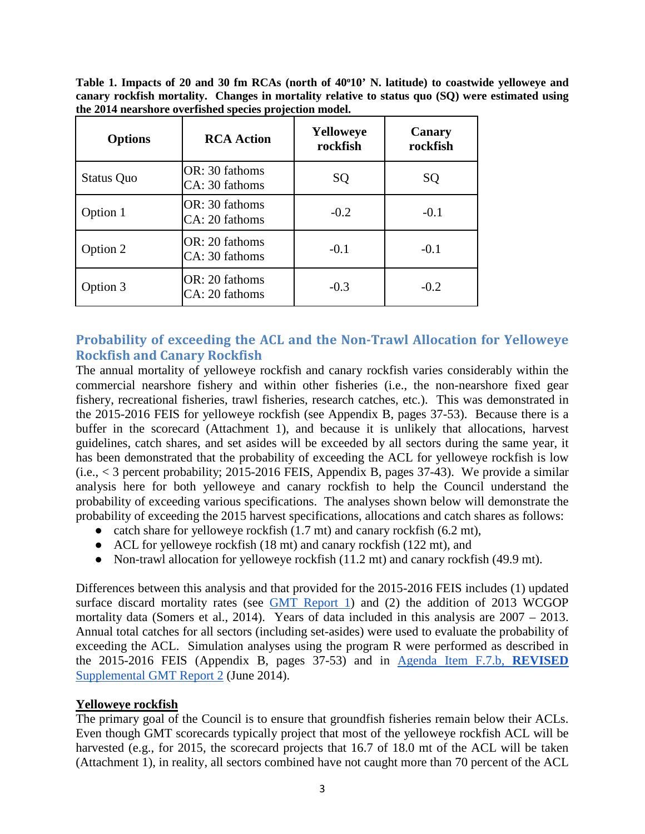<span id="page-2-0"></span>Table 1. Impacts of 20 and 30 fm RCAs (north of 40°10' N. latitude) to coastwide yelloweye and **canary rockfish mortality. Changes in mortality relative to status quo (SQ) were estimated using the 2014 nearshore overfished species projection model.**

| <b>Options</b>    | <b>RCA</b> Action                | Yelloweye<br>rockfish | Canary<br>rockfish |  |  |
|-------------------|----------------------------------|-----------------------|--------------------|--|--|
| <b>Status Quo</b> | OR: 30 fathoms<br>CA: 30 fathoms | SQ                    | SQ                 |  |  |
| Option 1          | OR: 30 fathoms<br>CA: 20 fathoms | $-0.2$                | $-0.1$             |  |  |
| Option 2          | OR: 20 fathoms<br>CA: 30 fathoms | $-0.1$                | $-0.1$             |  |  |
| Option 3          | OR: 20 fathoms<br>CA: 20 fathoms | $-0.3$                | $-0.2$             |  |  |

# **Probability of exceeding the ACL and the Non-Trawl Allocation for Yelloweye Rockfish and Canary Rockfish**

The annual mortality of yelloweye rockfish and canary rockfish varies considerably within the commercial nearshore fishery and within other fisheries (i.e., the non-nearshore fixed gear fishery, recreational fisheries, trawl fisheries, research catches, etc.). This was demonstrated in the 2015-2016 FEIS for yelloweye rockfish (see Appendix B, pages 37-53). Because there is a buffer in the scorecard (Attachment 1), and because it is unlikely that allocations, harvest guidelines, catch shares, and set asides will be exceeded by all sectors during the same year, it has been demonstrated that the probability of exceeding the ACL for yelloweye rockfish is low (i.e.,  $< 3$  percent probability; 2015-2016 FEIS, Appendix B, pages 37-43). We provide a similar analysis here for both yelloweye and canary rockfish to help the Council understand the probability of exceeding various specifications. The analyses shown below will demonstrate the probability of exceeding the 2015 harvest specifications, allocations and catch shares as follows:

- catch share for yelloweye rockfish  $(1.7 \text{ mt})$  and canary rockfish  $(6.2 \text{ mt})$ ,
- ACL for yelloweye rockfish (18 mt) and canary rockfish (122 mt), and
- Non-trawl allocation for yelloweye rockfish (11.2 mt) and canary rockfish (49.9 mt).

Differences between this analysis and that provided for the 2015-2016 FEIS includes (1) updated surfac[e](http://www.pcouncil.org/wp-content/uploads/2015/03/E8a_GMT_Rpt1_OFS_APR2015BB.pdf) discard mortality rates (see [GMT Report 1\)](http://www.pcouncil.org/wp-content/uploads/2015/03/E8a_GMT_Rpt1_OFS_APR2015BB.pdf) and (2) the addition of 2013 WCGOP mortality data (Somers et al., 2014). Years of data included in this analysis are 2007 – 2013. Annual total catches for all sectors (including set-asides) were used to evaluate the probability of exceeding the ACL. Simulation analyses using the program R were performed as described in the 2015-2016 FEIS (Appendix B, pages 37-53) and in [Agenda Item F.7.b,](http://www.pcouncil.org/wp-content/uploads/F7b_SUP_REVISED_GMT_Rpt2_JUNE2014BB.pdf) **[REVISED](http://www.pcouncil.org/wp-content/uploads/F7b_SUP_REVISED_GMT_Rpt2_JUNE2014BB.pdf)** [Supplemental GMT Report 2](http://www.pcouncil.org/wp-content/uploads/F7b_SUP_REVISED_GMT_Rpt2_JUNE2014BB.pdf) (June 2014).

### **Yelloweye rockfish**

The primary goal of the Council is to ensure that groundfish fisheries remain below their ACLs. Even though GMT scorecards typically project that most of the yelloweye rockfish ACL will be harvested (e.g., for 2015, the scorecard projects that 16.7 of 18.0 mt of the ACL will be taken (Attachment 1), in reality, all sectors combined have not caught more than 70 percent of the ACL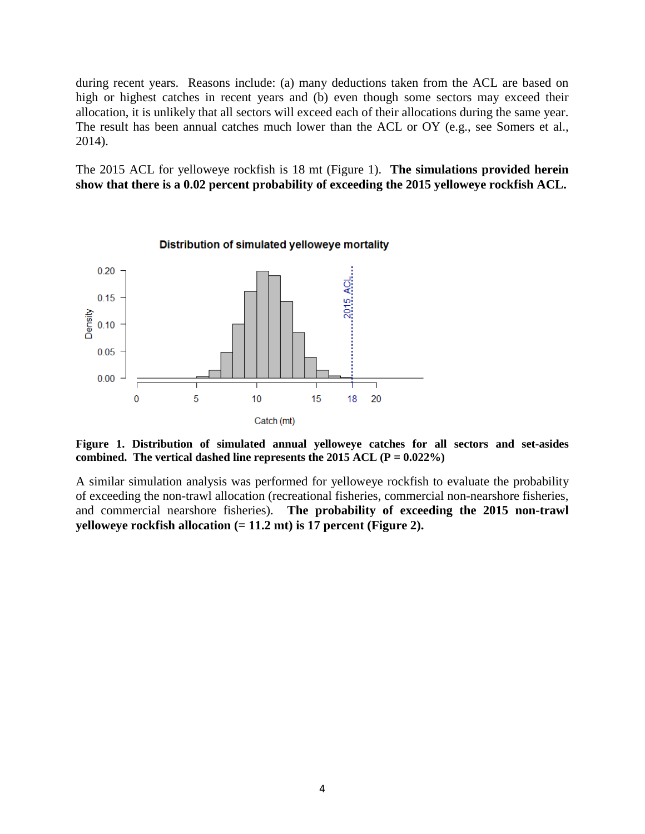during recent years. Reasons include: (a) many deductions taken from the ACL are based on high or highest catches in recent years and (b) even though some sectors may exceed their allocation, it is unlikely that all sectors will exceed each of their allocations during the same year. The result has been annual catches much lower than the ACL or OY (e.g., see Somers et al., 2014).

The 2015 ACL for yelloweye rockfish is 18 mt [\(Figure 1\)](#page-3-0). **The simulations provided herein show that there is a 0.02 percent probability of exceeding the 2015 yelloweye rockfish ACL.**



<span id="page-3-0"></span>**Figure 1. Distribution of simulated annual yelloweye catches for all sectors and set-asides combined. The vertical dashed line represents the 2015 ACL (P = 0.022%)**

A similar simulation analysis was performed for yelloweye rockfish to evaluate the probability of exceeding the non-trawl allocation (recreational fisheries, commercial non-nearshore fisheries, and commercial nearshore fisheries). **The probability of exceeding the 2015 non-trawl yelloweye rockfish allocation (= 11.2 mt) is 17 percent [\(Figure 2\)](#page-4-0).**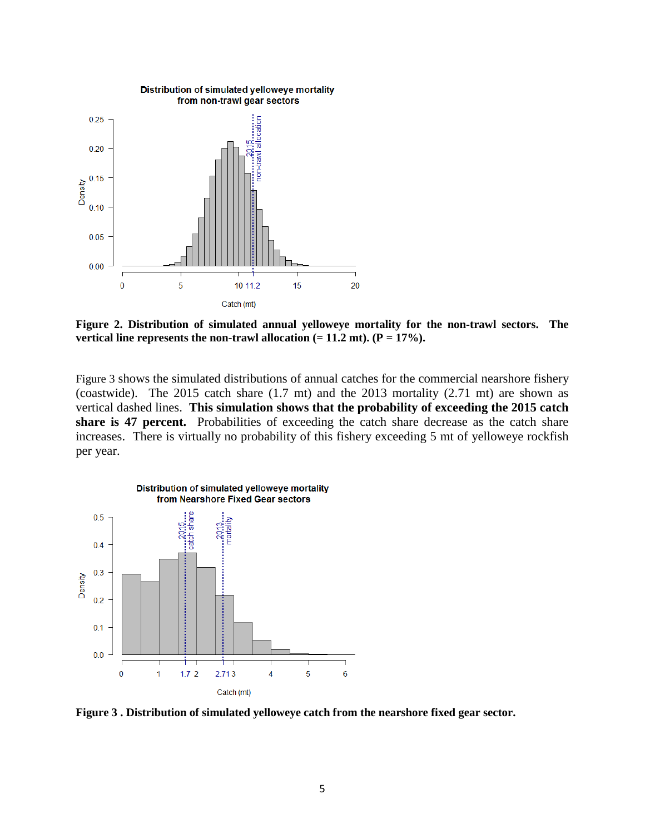

<span id="page-4-0"></span>**Figure 2. Distribution of simulated annual yelloweye mortality for the non-trawl sectors. The**  vertical line represents the non-trawl allocation  $(= 11.2 \text{ mt})$ .  $(P = 17\%)$ .

[Figure 3](#page-4-1) shows the simulated distributions of annual catches for the commercial nearshore fishery (coastwide). The 2015 catch share (1.7 mt) and the 2013 mortality (2.71 mt) are shown as vertical dashed lines. **This simulation shows that the probability of exceeding the 2015 catch share is 47 percent.** Probabilities of exceeding the catch share decrease as the catch share increases. There is virtually no probability of this fishery exceeding 5 mt of yelloweye rockfish per year.



<span id="page-4-1"></span>**Figure 3 . Distribution of simulated yelloweye catch from the nearshore fixed gear sector.**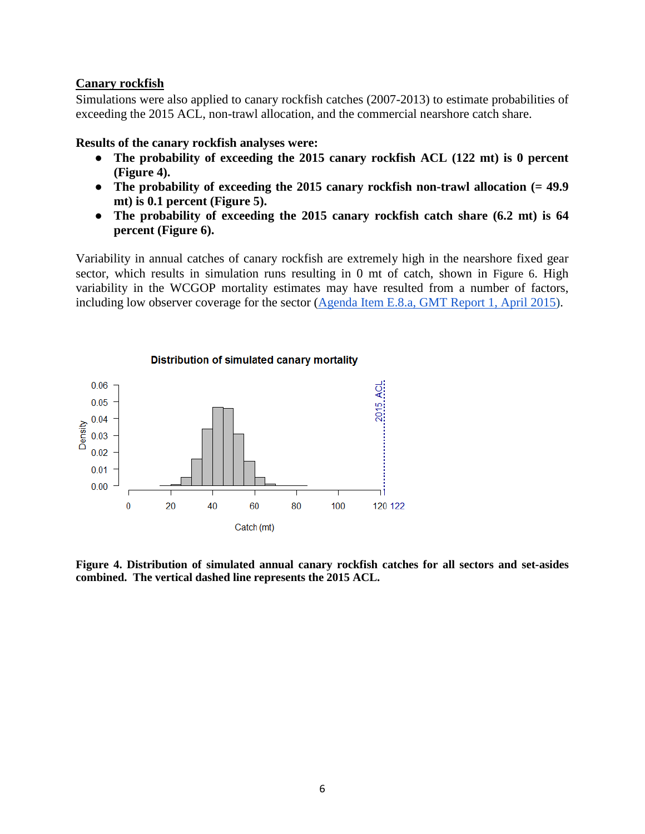#### **Canary rockfish**

Simulations were also applied to canary rockfish catches (2007-2013) to estimate probabilities of exceeding the 2015 ACL, non-trawl allocation, and the commercial nearshore catch share.

#### **Results of the canary rockfish analyses were:**

- **The probability of exceeding the 2015 canary rockfish ACL (122 mt) is 0 percent [\(Figure 4\)](#page-5-0).**
- **The probability of exceeding the 2015 canary rockfish non-trawl allocation (= 49.9 mt) is 0.1 percent [\(Figure 5\)](#page-6-0).**
- **The probability of exceeding the 2015 canary rockfish catch share (6.2 mt) is 64 percent [\(Figure 6\)](#page-6-1).**

Variability in annual catches of canary rockfish are extremely high in the nearshore fixed gear sector, which results in simulation runs resulting in 0 mt of catch, shown in [Figure 6.](#page-6-1) High variability in the WCGOP mortality estimates may have resulted from a number of factors, including low observer coverage for the sector [\(Agenda Item E.8.a, GMT Report 1,](http://www.pcouncil.org/wp-content/uploads/2015/03/E8a_GMT_Rpt1_OFS_APR2015BB.pdf) April 2015).



<span id="page-5-0"></span>**Figure 4. Distribution of simulated annual canary rockfish catches for all sectors and set-asides combined. The vertical dashed line represents the 2015 ACL.**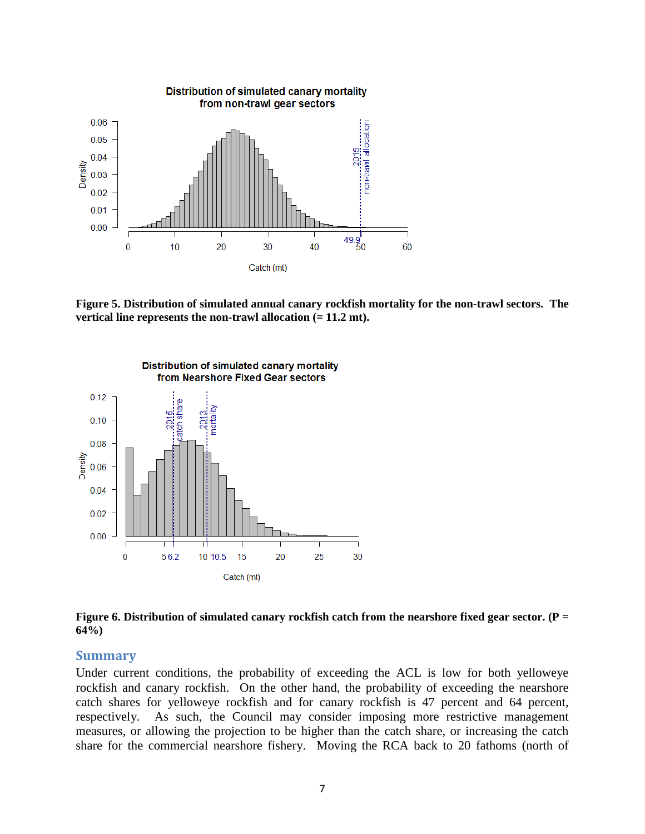

<span id="page-6-0"></span>**Figure 5. Distribution of simulated annual canary rockfish mortality for the non-trawl sectors. The vertical line represents the non-trawl allocation (= 11.2 mt).**



<span id="page-6-1"></span>**Figure 6. Distribution of simulated canary rockfish catch from the nearshore fixed gear sector. (P = 64%)**

#### **Summary**

Under current conditions, the probability of exceeding the ACL is low for both yelloweye rockfish and canary rockfish. On the other hand, the probability of exceeding the nearshore catch shares for yelloweye rockfish and for canary rockfish is 47 percent and 64 percent, respectively. As such, the Council may consider imposing more restrictive management measures, or allowing the projection to be higher than the catch share, or increasing the catch share for the commercial nearshore fishery. Moving the RCA back to 20 fathoms (north of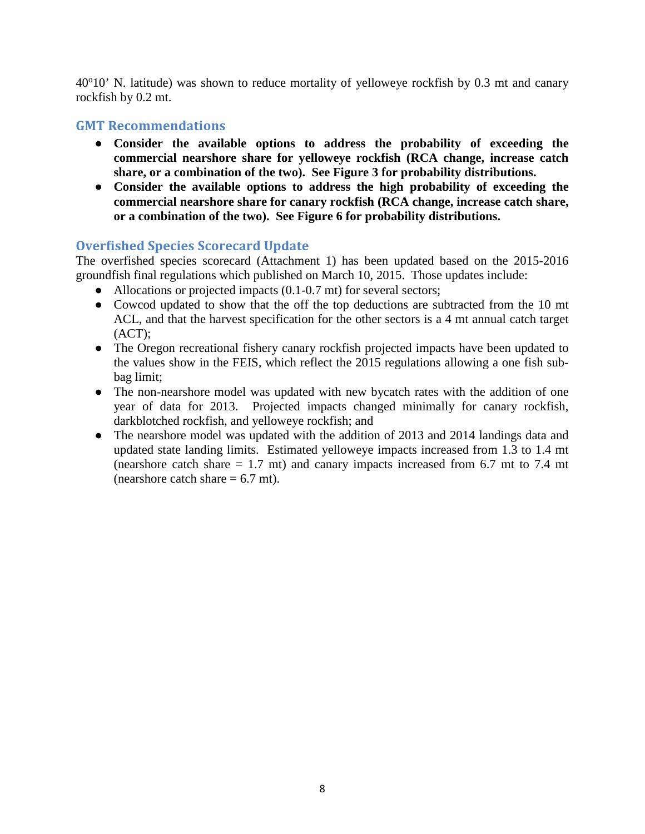40°10' N. latitude) was shown to reduce mortality of yelloweye rockfish by 0.3 mt and canary rockfish by 0.2 mt.

## **GMT Recommendations**

- **Consider the available options to address the probability of exceeding the commercial nearshore share for yelloweye rockfish (RCA change, increase catch share, or a combination of the two). See Figure 3 for probability distributions.**
- **Consider the available options to address the high probability of exceeding the commercial nearshore share for canary rockfish (RCA change, increase catch share, or a combination of the two). See Figure 6 for probability distributions.**

## **Overfished Species Scorecard Update**

The overfished species scorecard (Attachment 1) has been updated based on the 2015-2016 groundfish final regulations which published on March 10, 2015. Those updates include:

- Allocations or projected impacts (0.1-0.7 mt) for several sectors;
- Cowcod updated to show that the off the top deductions are subtracted from the 10 mt ACL, and that the harvest specification for the other sectors is a 4 mt annual catch target (ACT);
- The Oregon recreational fishery canary rockfish projected impacts have been updated to the values show in the FEIS, which reflect the 2015 regulations allowing a one fish subbag limit;
- The non-nearshore model was updated with new bycatch rates with the addition of one year of data for 2013. Projected impacts changed minimally for canary rockfish, darkblotched rockfish, and yelloweye rockfish; and
- The nearshore model was updated with the addition of 2013 and 2014 landings data and updated state landing limits. Estimated yelloweye impacts increased from 1.3 to 1.4 mt (nearshore catch share  $= 1.7$  mt) and canary impacts increased from 6.7 mt to 7.4 mt (nearshore catch share  $= 6.7$  mt).